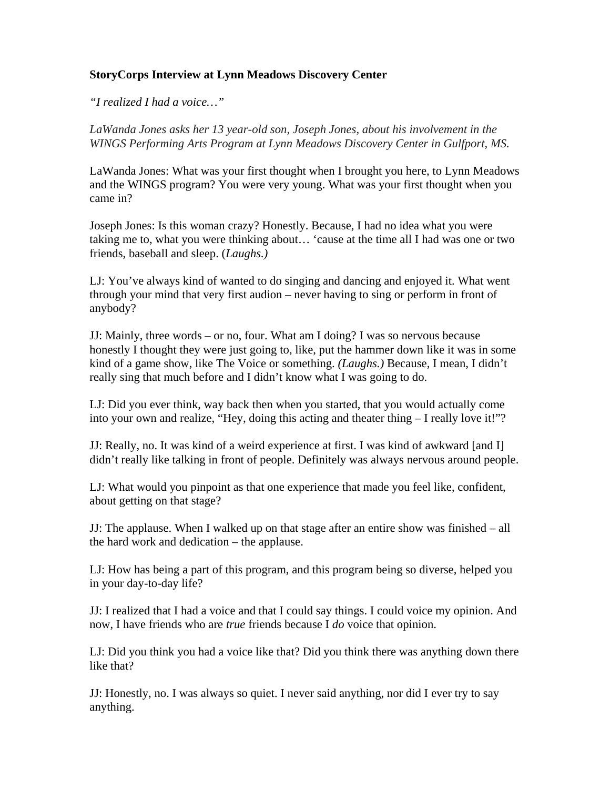## **StoryCorps Interview at Lynn Meadows Discovery Center**

*"I realized I had a voice…"*

*LaWanda Jones asks her 13 year-old son, Joseph Jones, about his involvement in the WINGS Performing Arts Program at Lynn Meadows Discovery Center in Gulfport, MS.* 

LaWanda Jones: What was your first thought when I brought you here, to Lynn Meadows and the WINGS program? You were very young. What was your first thought when you came in?

Joseph Jones: Is this woman crazy? Honestly. Because, I had no idea what you were taking me to, what you were thinking about… 'cause at the time all I had was one or two friends, baseball and sleep. (*Laughs.)*

LJ: You've always kind of wanted to do singing and dancing and enjoyed it. What went through your mind that very first audion – never having to sing or perform in front of anybody?

JJ: Mainly, three words – or no, four. What am I doing? I was so nervous because honestly I thought they were just going to, like, put the hammer down like it was in some kind of a game show, like The Voice or something. *(Laughs.)* Because, I mean, I didn't really sing that much before and I didn't know what I was going to do.

LJ: Did you ever think, way back then when you started, that you would actually come into your own and realize, "Hey, doing this acting and theater thing – I really love it!"?

JJ: Really, no. It was kind of a weird experience at first. I was kind of awkward [and I] didn't really like talking in front of people. Definitely was always nervous around people.

LJ: What would you pinpoint as that one experience that made you feel like, confident, about getting on that stage?

JJ: The applause. When I walked up on that stage after an entire show was finished – all the hard work and dedication – the applause.

LJ: How has being a part of this program, and this program being so diverse, helped you in your day-to-day life?

JJ: I realized that I had a voice and that I could say things. I could voice my opinion. And now, I have friends who are *true* friends because I *do* voice that opinion.

LJ: Did you think you had a voice like that? Did you think there was anything down there like that?

JJ: Honestly, no. I was always so quiet. I never said anything, nor did I ever try to say anything.